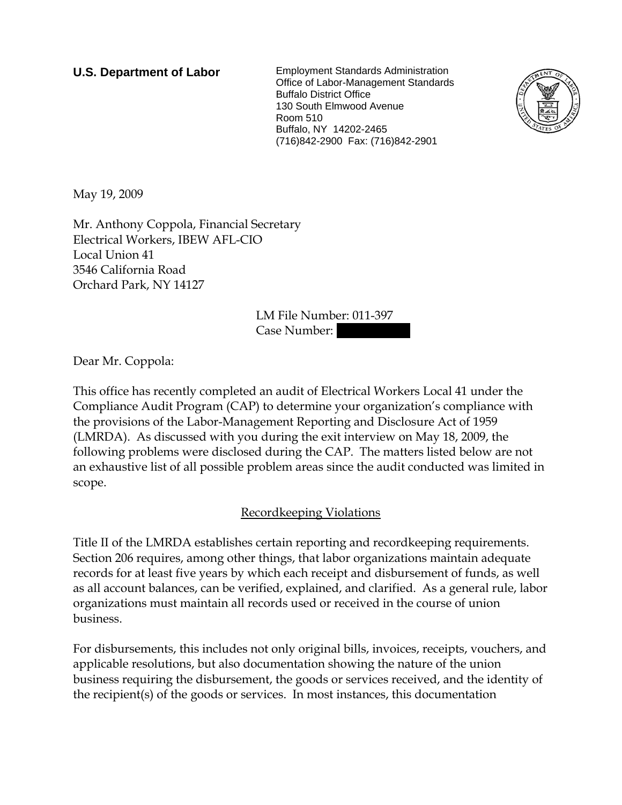**U.S. Department of Labor** Employment Standards Administration Office of Labor-Management Standards Buffalo District Office 130 South Elmwood Avenue Room 510 Buffalo, NY 14202-2465 (716)842-2900 Fax: (716)842-2901



May 19, 2009

Mr. Anthony Coppola, Financial Secretary Electrical Workers, IBEW AFL-CIO Local Union 41 3546 California Road Orchard Park, NY 14127

> LM File Number: 011-397 Case Number:

Dear Mr. Coppola:

This office has recently completed an audit of Electrical Workers Local 41 under the Compliance Audit Program (CAP) to determine your organization's compliance with the provisions of the Labor-Management Reporting and Disclosure Act of 1959 (LMRDA). As discussed with you during the exit interview on May 18, 2009, the following problems were disclosed during the CAP. The matters listed below are not an exhaustive list of all possible problem areas since the audit conducted was limited in scope.

## Recordkeeping Violations

Title II of the LMRDA establishes certain reporting and recordkeeping requirements. Section 206 requires, among other things, that labor organizations maintain adequate records for at least five years by which each receipt and disbursement of funds, as well as all account balances, can be verified, explained, and clarified. As a general rule, labor organizations must maintain all records used or received in the course of union business.

For disbursements, this includes not only original bills, invoices, receipts, vouchers, and applicable resolutions, but also documentation showing the nature of the union business requiring the disbursement, the goods or services received, and the identity of the recipient(s) of the goods or services. In most instances, this documentation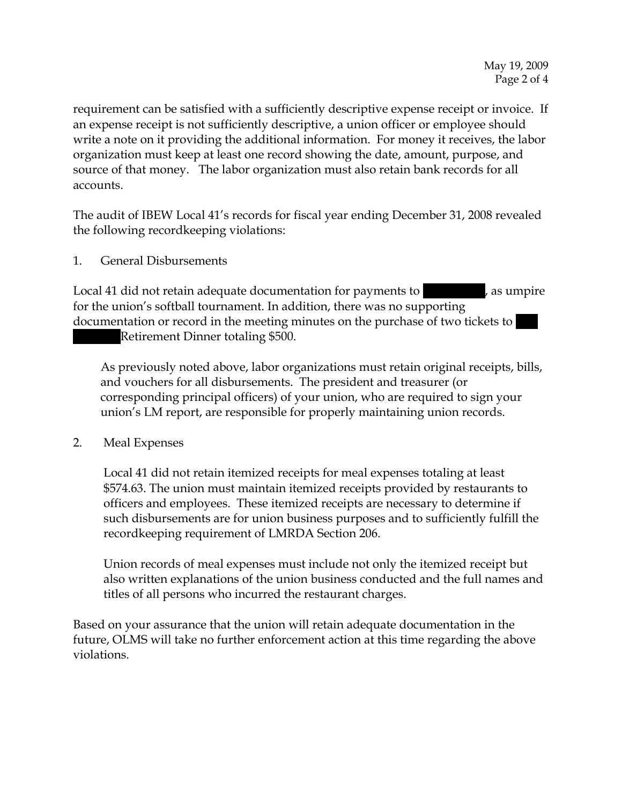requirement can be satisfied with a sufficiently descriptive expense receipt or invoice. If an expense receipt is not sufficiently descriptive, a union officer or employee should write a note on it providing the additional information. For money it receives, the labor organization must keep at least one record showing the date, amount, purpose, and source of that money. The labor organization must also retain bank records for all accounts.

The audit of IBEW Local 41's records for fiscal year ending December 31, 2008 revealed the following recordkeeping violations:

1. General Disbursements

Local 41 did not retain adequate documentation for payments to  $\hspace{1cm}$ , as umpire for the union's softball tournament. In addition, there was no supporting documentation or record in the meeting minutes on the purchase of two tickets to |||

Retirement Dinner totaling \$500.

As previously noted above, labor organizations must retain original receipts, bills, and vouchers for all disbursements. The president and treasurer (or corresponding principal officers) of your union, who are required to sign your union's LM report, are responsible for properly maintaining union records.

2. Meal Expenses

Local 41 did not retain itemized receipts for meal expenses totaling at least \$574.63. The union must maintain itemized receipts provided by restaurants to officers and employees. These itemized receipts are necessary to determine if such disbursements are for union business purposes and to sufficiently fulfill the recordkeeping requirement of LMRDA Section 206.

Union records of meal expenses must include not only the itemized receipt but also written explanations of the union business conducted and the full names and titles of all persons who incurred the restaurant charges.

Based on your assurance that the union will retain adequate documentation in the future, OLMS will take no further enforcement action at this time regarding the above violations.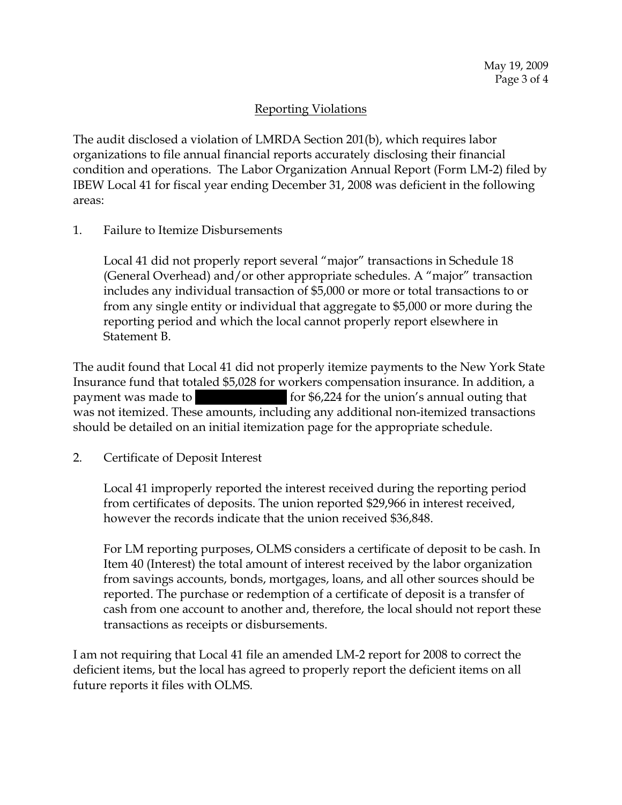## Reporting Violations

The audit disclosed a violation of LMRDA Section 201(b), which requires labor organizations to file annual financial reports accurately disclosing their financial condition and operations. The Labor Organization Annual Report (Form LM-2) filed by IBEW Local 41 for fiscal year ending December 31, 2008 was deficient in the following areas:

1. Failure to Itemize Disbursements

Local 41 did not properly report several "major" transactions in Schedule 18 (General Overhead) and/or other appropriate schedules. A "major" transaction includes any individual transaction of \$5,000 or more or total transactions to or from any single entity or individual that aggregate to \$5,000 or more during the reporting period and which the local cannot properly report elsewhere in Statement B.

The audit found that Local 41 did not properly itemize payments to the New York State Insurance fund that totaled \$5,028 for workers compensation insurance. In addition, a payment was made to  $|$  for \$6,224 for the union's annual outing that was not itemized. These amounts, including any additional non-itemized transactions should be detailed on an initial itemization page for the appropriate schedule.

2. Certificate of Deposit Interest

Local 41 improperly reported the interest received during the reporting period from certificates of deposits. The union reported \$29,966 in interest received, however the records indicate that the union received \$36,848.

For LM reporting purposes, OLMS considers a certificate of deposit to be cash. In Item 40 (Interest) the total amount of interest received by the labor organization from savings accounts, bonds, mortgages, loans, and all other sources should be reported. The purchase or redemption of a certificate of deposit is a transfer of cash from one account to another and, therefore, the local should not report these transactions as receipts or disbursements.

I am not requiring that Local 41 file an amended LM-2 report for 2008 to correct the deficient items, but the local has agreed to properly report the deficient items on all future reports it files with OLMS.